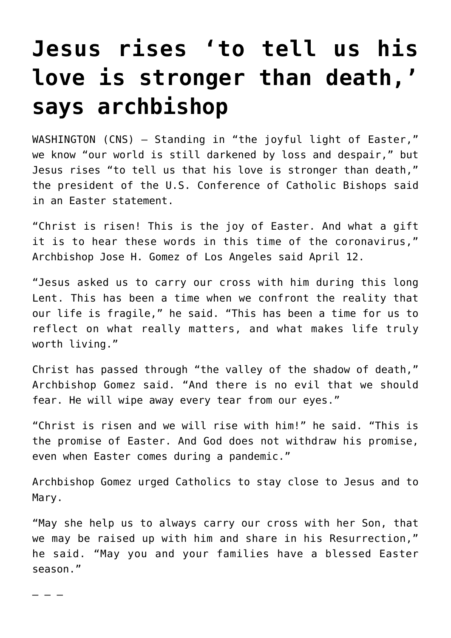## **[Jesus rises 'to tell us his](https://www.osvnews.com/2020/04/12/jesus-rises-to-tell-us-his-love-is-stronger-than-death-says-archbishop/) [love is stronger than death,'](https://www.osvnews.com/2020/04/12/jesus-rises-to-tell-us-his-love-is-stronger-than-death-says-archbishop/) [says archbishop](https://www.osvnews.com/2020/04/12/jesus-rises-to-tell-us-his-love-is-stronger-than-death-says-archbishop/)**

WASHINGTON (CNS) — Standing in "the joyful light of Easter," we know "our world is still darkened by loss and despair," but Jesus rises "to tell us that his love is stronger than death," the president of the U.S. Conference of Catholic Bishops said in an Easter statement.

"Christ is risen! This is the joy of Easter. And what a gift it is to hear these words in this time of the coronavirus," Archbishop Jose H. Gomez of Los Angeles said April 12.

"Jesus asked us to carry our cross with him during this long Lent. This has been a time when we confront the reality that our life is fragile," he said. "This has been a time for us to reflect on what really matters, and what makes life truly worth living."

Christ has passed through "the valley of the shadow of death," Archbishop Gomez said. "And there is no evil that we should fear. He will wipe away every tear from our eyes."

"Christ is risen and we will rise with him!" he said. "This is the promise of Easter. And God does not withdraw his promise, even when Easter comes during a pandemic."

Archbishop Gomez urged Catholics to stay close to Jesus and to Mary.

"May she help us to always carry our cross with her Son, that we may be raised up with him and share in his Resurrection," he said. "May you and your families have a blessed Easter season."

– – –